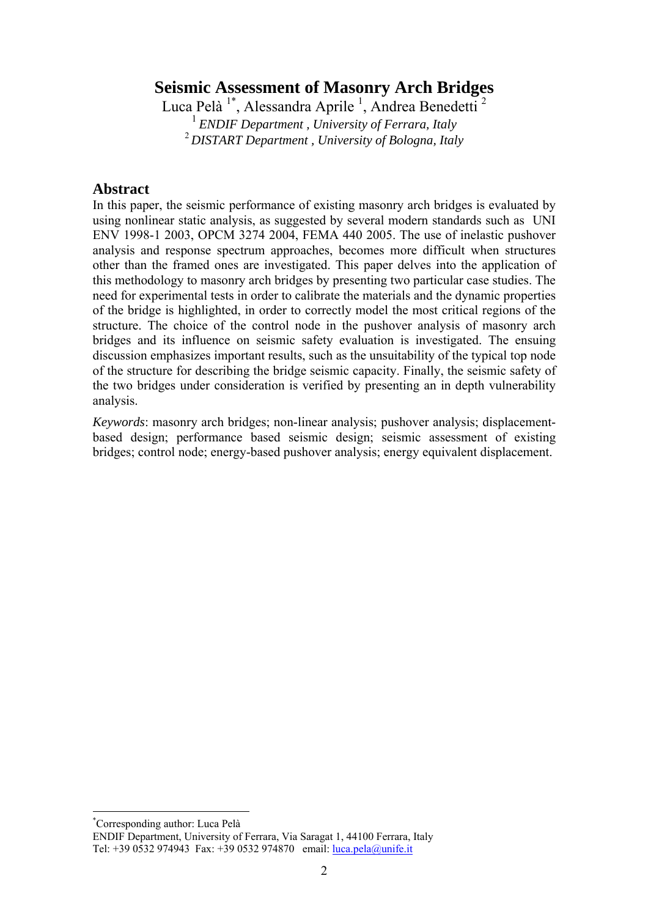#### **Seismic Assessment of Masonry Arch Bridges**

Luca Pelà<sup>1\*</sup>, Alessandra Aprile<sup>1</sup>, Andrea Benedetti<sup>2</sup>

<sup>1</sup>*ENDIF Department , University of Ferrara, Italy*  <sup>2</sup>*DISTART Department , University of Bologna, Italy* 

#### **Abstract**

In this paper, the seismic performance of existing masonry arch bridges is evaluated by using nonlinear static analysis, as suggested by several modern standards such as UNI ENV 1998-1 2003, OPCM 3274 2004, FEMA 440 2005. The use of inelastic pushover analysis and response spectrum approaches, becomes more difficult when structures other than the framed ones are investigated. This paper delves into the application of this methodology to masonry arch bridges by presenting two particular case studies. The need for experimental tests in order to calibrate the materials and the dynamic properties of the bridge is highlighted, in order to correctly model the most critical regions of the structure. The choice of the control node in the pushover analysis of masonry arch bridges and its influence on seismic safety evaluation is investigated. The ensuing discussion emphasizes important results, such as the unsuitability of the typical top node of the structure for describing the bridge seismic capacity. Finally, the seismic safety of the two bridges under consideration is verified by presenting an in depth vulnerability analysis.

*Keywords*: masonry arch bridges; non-linear analysis; pushover analysis; displacementbased design; performance based seismic design; seismic assessment of existing bridges; control node; energy-based pushover analysis; energy equivalent displacement.

\* Corresponding author: Luca Pelà

 $\overline{a}$ 

ENDIF Department, University of Ferrara, Via Saragat 1, 44100 Ferrara, Italy Tel: +39 0532 974943 Fax: +39 0532 974870 email: luca.pela@unife.it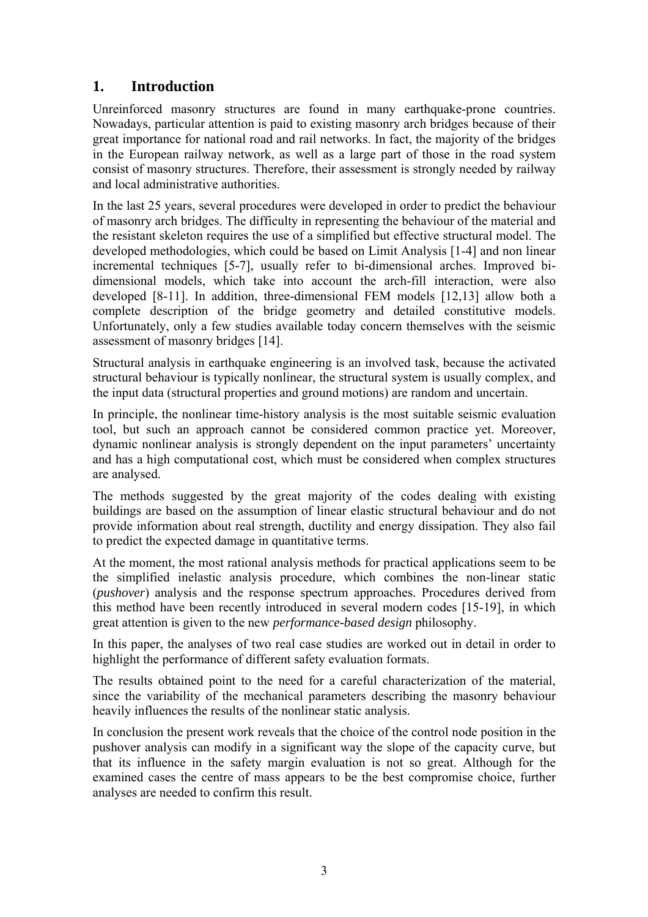#### **1. Introduction**

Unreinforced masonry structures are found in many earthquake-prone countries. Nowadays, particular attention is paid to existing masonry arch bridges because of their great importance for national road and rail networks. In fact, the majority of the bridges in the European railway network, as well as a large part of those in the road system consist of masonry structures. Therefore, their assessment is strongly needed by railway and local administrative authorities.

In the last 25 years, several procedures were developed in order to predict the behaviour of masonry arch bridges. The difficulty in representing the behaviour of the material and the resistant skeleton requires the use of a simplified but effective structural model. The developed methodologies, which could be based on Limit Analysis [1-4] and non linear incremental techniques [5-7], usually refer to bi-dimensional arches. Improved bidimensional models, which take into account the arch-fill interaction, were also developed [8-11]. In addition, three-dimensional FEM models [12,13] allow both a complete description of the bridge geometry and detailed constitutive models. Unfortunately, only a few studies available today concern themselves with the seismic assessment of masonry bridges [14].

Structural analysis in earthquake engineering is an involved task, because the activated structural behaviour is typically nonlinear, the structural system is usually complex, and the input data (structural properties and ground motions) are random and uncertain.

In principle, the nonlinear time-history analysis is the most suitable seismic evaluation tool, but such an approach cannot be considered common practice yet. Moreover, dynamic nonlinear analysis is strongly dependent on the input parameters' uncertainty and has a high computational cost, which must be considered when complex structures are analysed.

The methods suggested by the great majority of the codes dealing with existing buildings are based on the assumption of linear elastic structural behaviour and do not provide information about real strength, ductility and energy dissipation. They also fail to predict the expected damage in quantitative terms.

At the moment, the most rational analysis methods for practical applications seem to be the simplified inelastic analysis procedure, which combines the non-linear static (*pushover*) analysis and the response spectrum approaches. Procedures derived from this method have been recently introduced in several modern codes [15-19], in which great attention is given to the new *performance-based design* philosophy.

In this paper, the analyses of two real case studies are worked out in detail in order to highlight the performance of different safety evaluation formats.

The results obtained point to the need for a careful characterization of the material, since the variability of the mechanical parameters describing the masonry behaviour heavily influences the results of the nonlinear static analysis.

In conclusion the present work reveals that the choice of the control node position in the pushover analysis can modify in a significant way the slope of the capacity curve, but that its influence in the safety margin evaluation is not so great. Although for the examined cases the centre of mass appears to be the best compromise choice, further analyses are needed to confirm this result.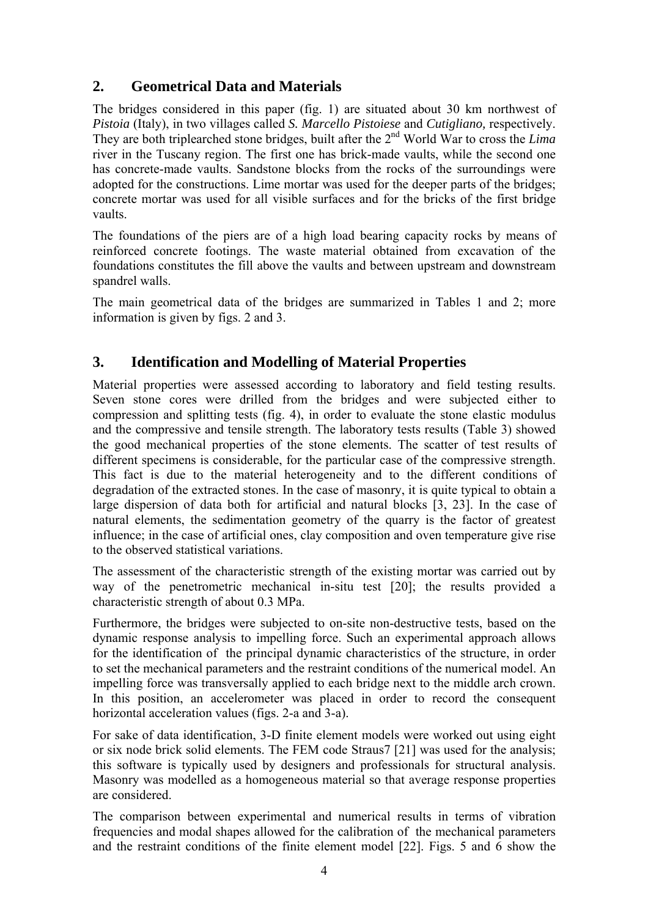### **2. Geometrical Data and Materials**

The bridges considered in this paper (fig. 1) are situated about 30 km northwest of *Pistoia* (Italy), in two villages called *S. Marcello Pistoiese* and *Cutigliano,* respectively. They are both triplearched stone bridges, built after the 2<sup>nd</sup> World War to cross the *Lima* river in the Tuscany region. The first one has brick-made vaults, while the second one has concrete-made vaults. Sandstone blocks from the rocks of the surroundings were adopted for the constructions. Lime mortar was used for the deeper parts of the bridges; concrete mortar was used for all visible surfaces and for the bricks of the first bridge vaults.

The foundations of the piers are of a high load bearing capacity rocks by means of reinforced concrete footings. The waste material obtained from excavation of the foundations constitutes the fill above the vaults and between upstream and downstream spandrel walls.

The main geometrical data of the bridges are summarized in Tables 1 and 2; more information is given by figs. 2 and 3.

## **3. Identification and Modelling of Material Properties**

Material properties were assessed according to laboratory and field testing results. Seven stone cores were drilled from the bridges and were subjected either to compression and splitting tests (fig. 4), in order to evaluate the stone elastic modulus and the compressive and tensile strength. The laboratory tests results (Table 3) showed the good mechanical properties of the stone elements. The scatter of test results of different specimens is considerable, for the particular case of the compressive strength. This fact is due to the material heterogeneity and to the different conditions of degradation of the extracted stones. In the case of masonry, it is quite typical to obtain a large dispersion of data both for artificial and natural blocks [3, 23]. In the case of natural elements, the sedimentation geometry of the quarry is the factor of greatest influence; in the case of artificial ones, clay composition and oven temperature give rise to the observed statistical variations.

The assessment of the characteristic strength of the existing mortar was carried out by way of the penetrometric mechanical in-situ test [20]; the results provided a characteristic strength of about 0.3 MPa.

Furthermore, the bridges were subjected to on-site non-destructive tests, based on the dynamic response analysis to impelling force. Such an experimental approach allows for the identification of the principal dynamic characteristics of the structure, in order to set the mechanical parameters and the restraint conditions of the numerical model. An impelling force was transversally applied to each bridge next to the middle arch crown. In this position, an accelerometer was placed in order to record the consequent horizontal acceleration values (figs. 2-a and 3-a).

For sake of data identification, 3-D finite element models were worked out using eight or six node brick solid elements. The FEM code Straus7 [21] was used for the analysis; this software is typically used by designers and professionals for structural analysis. Masonry was modelled as a homogeneous material so that average response properties are considered.

The comparison between experimental and numerical results in terms of vibration frequencies and modal shapes allowed for the calibration of the mechanical parameters and the restraint conditions of the finite element model [22]. Figs. 5 and 6 show the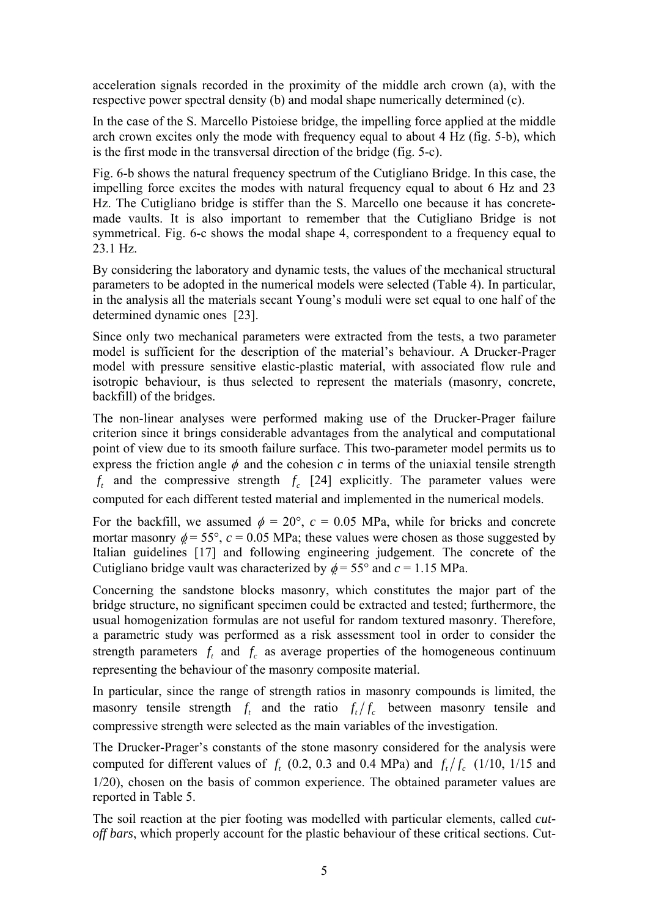acceleration signals recorded in the proximity of the middle arch crown (a), with the respective power spectral density (b) and modal shape numerically determined (c).

In the case of the S. Marcello Pistoiese bridge, the impelling force applied at the middle arch crown excites only the mode with frequency equal to about 4 Hz (fig. 5-b), which is the first mode in the transversal direction of the bridge (fig. 5-c).

Fig. 6-b shows the natural frequency spectrum of the Cutigliano Bridge. In this case, the impelling force excites the modes with natural frequency equal to about 6 Hz and 23 Hz. The Cutigliano bridge is stiffer than the S. Marcello one because it has concretemade vaults. It is also important to remember that the Cutigliano Bridge is not symmetrical. Fig. 6-c shows the modal shape 4, correspondent to a frequency equal to 23.1 Hz.

By considering the laboratory and dynamic tests, the values of the mechanical structural parameters to be adopted in the numerical models were selected (Table 4). In particular, in the analysis all the materials secant Young's moduli were set equal to one half of the determined dynamic ones [23].

Since only two mechanical parameters were extracted from the tests, a two parameter model is sufficient for the description of the material's behaviour. A Drucker-Prager model with pressure sensitive elastic-plastic material, with associated flow rule and isotropic behaviour, is thus selected to represent the materials (masonry, concrete, backfill) of the bridges.

The non-linear analyses were performed making use of the Drucker-Prager failure criterion since it brings considerable advantages from the analytical and computational point of view due to its smooth failure surface. This two-parameter model permits us to express the friction angle  $\phi$  and the cohesion  $c$  in terms of the uniaxial tensile strength  $f_t$  and the compressive strength  $f_c$  [24] explicitly. The parameter values were computed for each different tested material and implemented in the numerical models.

For the backfill, we assumed  $\phi = 20^{\circ}$ ,  $c = 0.05$  MPa, while for bricks and concrete mortar masonry  $\phi = 55^{\circ}$ ,  $c = 0.05$  MPa; these values were chosen as those suggested by Italian guidelines [17] and following engineering judgement. The concrete of the Cutigliano bridge vault was characterized by  $\phi = 55^{\circ}$  and  $c = 1.15$  MPa.

Concerning the sandstone blocks masonry, which constitutes the major part of the bridge structure, no significant specimen could be extracted and tested; furthermore, the usual homogenization formulas are not useful for random textured masonry. Therefore, a parametric study was performed as a risk assessment tool in order to consider the strength parameters  $f_t$  and  $f_c$  as average properties of the homogeneous continuum representing the behaviour of the masonry composite material.

In particular, since the range of strength ratios in masonry compounds is limited, the masonry tensile strength  $f_t$  and the ratio  $f_t/f_c$  between masonry tensile and compressive strength were selected as the main variables of the investigation.

The Drucker-Prager's constants of the stone masonry considered for the analysis were computed for different values of  $f_t$  (0.2, 0.3 and 0.4 MPa) and  $f_t/f_c$  (1/10, 1/15 and 1/20), chosen on the basis of common experience. The obtained parameter values are reported in Table 5.

The soil reaction at the pier footing was modelled with particular elements, called *cutoff bars*, which properly account for the plastic behaviour of these critical sections. Cut-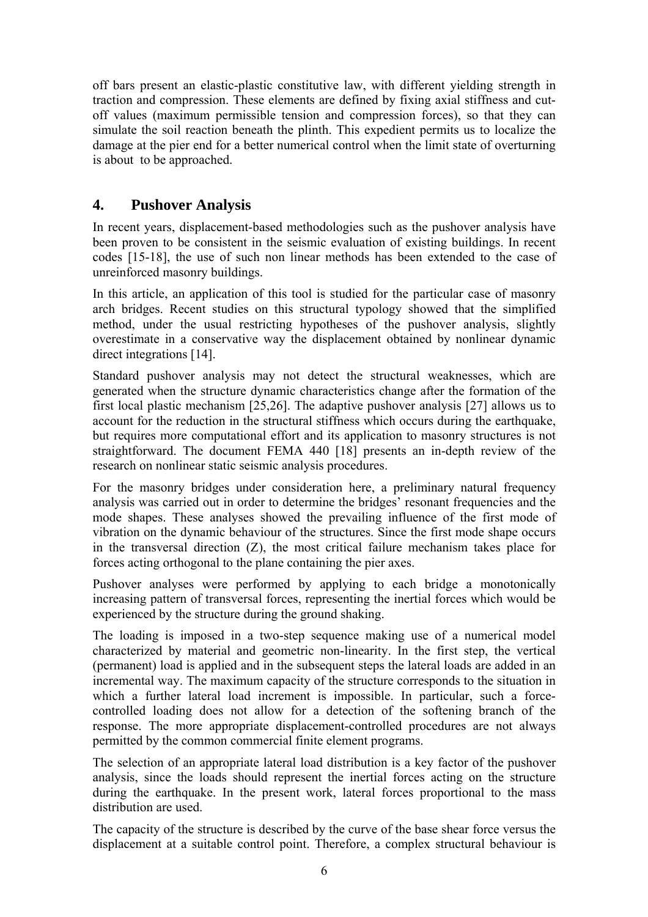off bars present an elastic-plastic constitutive law, with different yielding strength in traction and compression. These elements are defined by fixing axial stiffness and cutoff values (maximum permissible tension and compression forces), so that they can simulate the soil reaction beneath the plinth. This expedient permits us to localize the damage at the pier end for a better numerical control when the limit state of overturning is about to be approached.

#### **4. Pushover Analysis**

In recent years, displacement-based methodologies such as the pushover analysis have been proven to be consistent in the seismic evaluation of existing buildings. In recent codes [15-18], the use of such non linear methods has been extended to the case of unreinforced masonry buildings.

In this article, an application of this tool is studied for the particular case of masonry arch bridges. Recent studies on this structural typology showed that the simplified method, under the usual restricting hypotheses of the pushover analysis, slightly overestimate in a conservative way the displacement obtained by nonlinear dynamic direct integrations [14].

Standard pushover analysis may not detect the structural weaknesses, which are generated when the structure dynamic characteristics change after the formation of the first local plastic mechanism [25,26]. The adaptive pushover analysis [27] allows us to account for the reduction in the structural stiffness which occurs during the earthquake, but requires more computational effort and its application to masonry structures is not straightforward. The document FEMA 440 [18] presents an in-depth review of the research on nonlinear static seismic analysis procedures.

For the masonry bridges under consideration here, a preliminary natural frequency analysis was carried out in order to determine the bridges' resonant frequencies and the mode shapes. These analyses showed the prevailing influence of the first mode of vibration on the dynamic behaviour of the structures. Since the first mode shape occurs in the transversal direction (Z), the most critical failure mechanism takes place for forces acting orthogonal to the plane containing the pier axes.

Pushover analyses were performed by applying to each bridge a monotonically increasing pattern of transversal forces, representing the inertial forces which would be experienced by the structure during the ground shaking.

The loading is imposed in a two-step sequence making use of a numerical model characterized by material and geometric non-linearity. In the first step, the vertical (permanent) load is applied and in the subsequent steps the lateral loads are added in an incremental way. The maximum capacity of the structure corresponds to the situation in which a further lateral load increment is impossible. In particular, such a forcecontrolled loading does not allow for a detection of the softening branch of the response. The more appropriate displacement-controlled procedures are not always permitted by the common commercial finite element programs.

The selection of an appropriate lateral load distribution is a key factor of the pushover analysis, since the loads should represent the inertial forces acting on the structure during the earthquake. In the present work, lateral forces proportional to the mass distribution are used.

The capacity of the structure is described by the curve of the base shear force versus the displacement at a suitable control point. Therefore, a complex structural behaviour is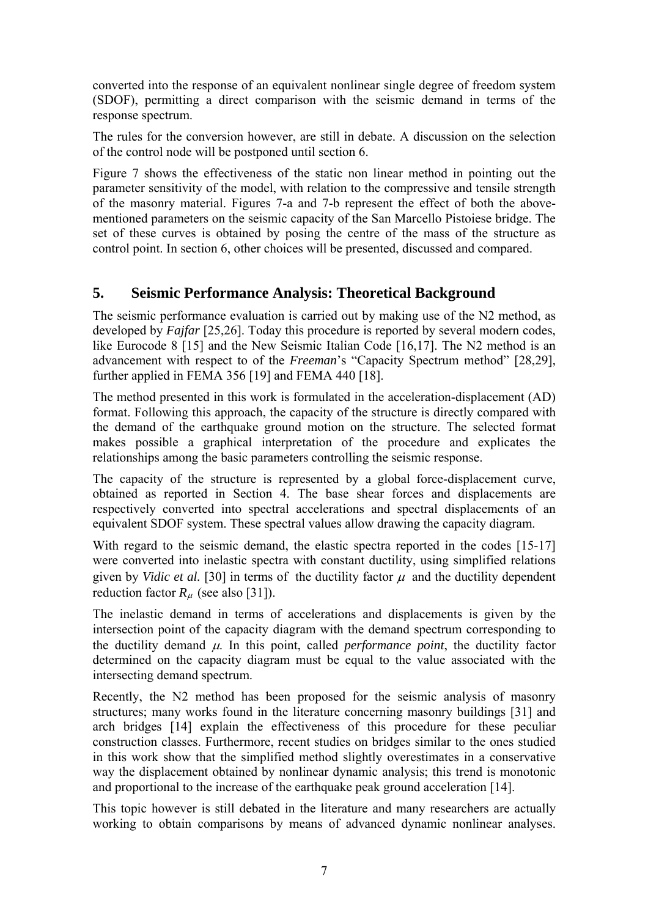converted into the response of an equivalent nonlinear single degree of freedom system (SDOF), permitting a direct comparison with the seismic demand in terms of the response spectrum.

The rules for the conversion however, are still in debate. A discussion on the selection of the control node will be postponed until section 6.

Figure 7 shows the effectiveness of the static non linear method in pointing out the parameter sensitivity of the model, with relation to the compressive and tensile strength of the masonry material. Figures 7-a and 7-b represent the effect of both the abovementioned parameters on the seismic capacity of the San Marcello Pistoiese bridge. The set of these curves is obtained by posing the centre of the mass of the structure as control point. In section 6, other choices will be presented, discussed and compared.

#### **5. Seismic Performance Analysis: Theoretical Background**

The seismic performance evaluation is carried out by making use of the N2 method, as developed by *Fajfar* [25,26]. Today this procedure is reported by several modern codes, like Eurocode 8 [15] and the New Seismic Italian Code [16,17]. The N2 method is an advancement with respect to of the *Freeman*'s "Capacity Spectrum method" [28,29], further applied in FEMA 356 [19] and FEMA 440 [18].

The method presented in this work is formulated in the acceleration-displacement (AD) format. Following this approach, the capacity of the structure is directly compared with the demand of the earthquake ground motion on the structure. The selected format makes possible a graphical interpretation of the procedure and explicates the relationships among the basic parameters controlling the seismic response.

The capacity of the structure is represented by a global force-displacement curve, obtained as reported in Section 4. The base shear forces and displacements are respectively converted into spectral accelerations and spectral displacements of an equivalent SDOF system. These spectral values allow drawing the capacity diagram.

With regard to the seismic demand, the elastic spectra reported in the codes [15-17] were converted into inelastic spectra with constant ductility, using simplified relations given by *Vidic et al.* [30] in terms of the ductility factor  $\mu$  and the ductility dependent reduction factor  $R_{\mu}$  (see also [31]).

The inelastic demand in terms of accelerations and displacements is given by the intersection point of the capacity diagram with the demand spectrum corresponding to the ductility demand  $\mu$ . In this point, called *performance point*, the ductility factor determined on the capacity diagram must be equal to the value associated with the intersecting demand spectrum.

Recently, the N2 method has been proposed for the seismic analysis of masonry structures; many works found in the literature concerning masonry buildings [31] and arch bridges [14] explain the effectiveness of this procedure for these peculiar construction classes. Furthermore, recent studies on bridges similar to the ones studied in this work show that the simplified method slightly overestimates in a conservative way the displacement obtained by nonlinear dynamic analysis; this trend is monotonic and proportional to the increase of the earthquake peak ground acceleration [14].

This topic however is still debated in the literature and many researchers are actually working to obtain comparisons by means of advanced dynamic nonlinear analyses.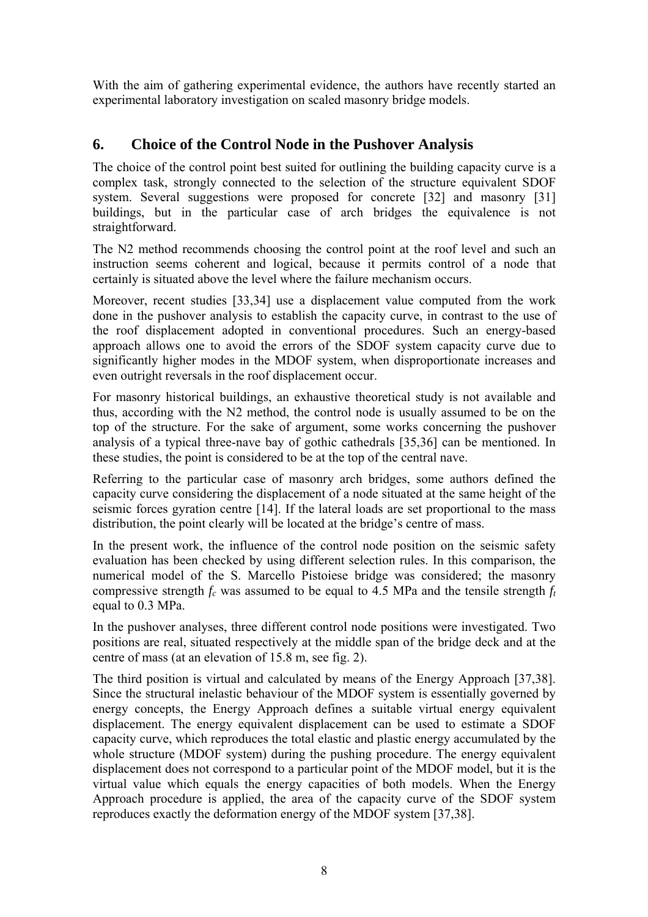With the aim of gathering experimental evidence, the authors have recently started an experimental laboratory investigation on scaled masonry bridge models.

#### **6. Choice of the Control Node in the Pushover Analysis**

The choice of the control point best suited for outlining the building capacity curve is a complex task, strongly connected to the selection of the structure equivalent SDOF system. Several suggestions were proposed for concrete [32] and masonry [31] buildings, but in the particular case of arch bridges the equivalence is not straightforward.

The N2 method recommends choosing the control point at the roof level and such an instruction seems coherent and logical, because it permits control of a node that certainly is situated above the level where the failure mechanism occurs.

Moreover, recent studies [33,34] use a displacement value computed from the work done in the pushover analysis to establish the capacity curve, in contrast to the use of the roof displacement adopted in conventional procedures. Such an energy-based approach allows one to avoid the errors of the SDOF system capacity curve due to significantly higher modes in the MDOF system, when disproportionate increases and even outright reversals in the roof displacement occur.

For masonry historical buildings, an exhaustive theoretical study is not available and thus, according with the N2 method, the control node is usually assumed to be on the top of the structure. For the sake of argument, some works concerning the pushover analysis of a typical three-nave bay of gothic cathedrals [35,36] can be mentioned. In these studies, the point is considered to be at the top of the central nave.

Referring to the particular case of masonry arch bridges, some authors defined the capacity curve considering the displacement of a node situated at the same height of the seismic forces gyration centre [14]. If the lateral loads are set proportional to the mass distribution, the point clearly will be located at the bridge's centre of mass.

In the present work, the influence of the control node position on the seismic safety evaluation has been checked by using different selection rules. In this comparison, the numerical model of the S. Marcello Pistoiese bridge was considered; the masonry compressive strength  $f_c$  was assumed to be equal to 4.5 MPa and the tensile strength  $f_t$ equal to 0.3 MPa.

In the pushover analyses, three different control node positions were investigated. Two positions are real, situated respectively at the middle span of the bridge deck and at the centre of mass (at an elevation of 15.8 m, see fig. 2).

The third position is virtual and calculated by means of the Energy Approach [37,38]. Since the structural inelastic behaviour of the MDOF system is essentially governed by energy concepts, the Energy Approach defines a suitable virtual energy equivalent displacement. The energy equivalent displacement can be used to estimate a SDOF capacity curve, which reproduces the total elastic and plastic energy accumulated by the whole structure (MDOF system) during the pushing procedure. The energy equivalent displacement does not correspond to a particular point of the MDOF model, but it is the virtual value which equals the energy capacities of both models. When the Energy Approach procedure is applied, the area of the capacity curve of the SDOF system reproduces exactly the deformation energy of the MDOF system [37,38].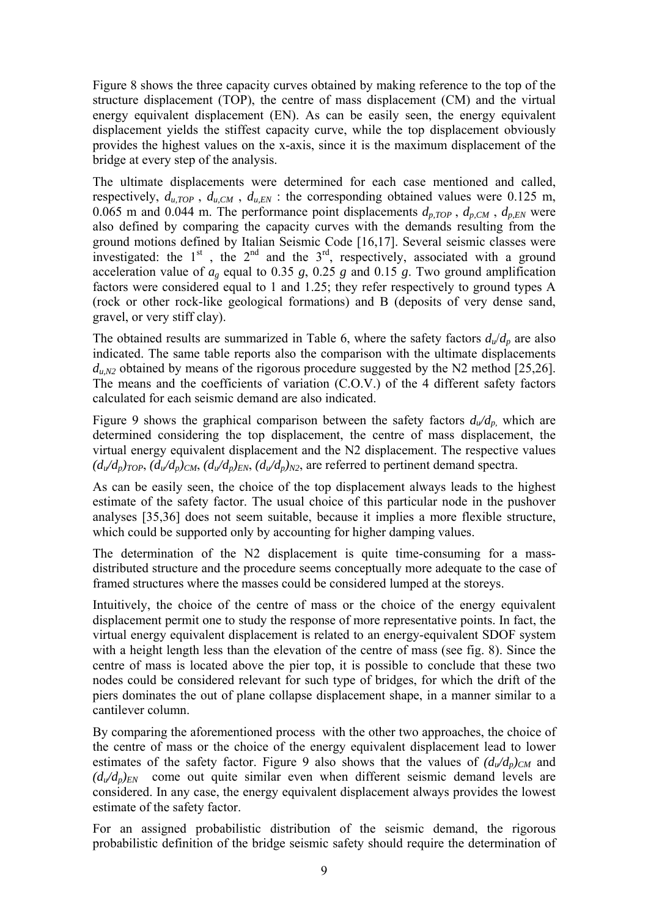Figure 8 shows the three capacity curves obtained by making reference to the top of the structure displacement (TOP), the centre of mass displacement (CM) and the virtual energy equivalent displacement (EN). As can be easily seen, the energy equivalent displacement yields the stiffest capacity curve, while the top displacement obviously provides the highest values on the x-axis, since it is the maximum displacement of the bridge at every step of the analysis.

The ultimate displacements were determined for each case mentioned and called, respectively,  $d_{u,TOP}$ ,  $d_{u,CM}$ ,  $d_{u,EN}$ : the corresponding obtained values were 0.125 m, 0.065 m and 0.044 m. The performance point displacements  $d_{p,TOP}$ ,  $d_{p,CM}$ ,  $d_{p,EN}$  were also defined by comparing the capacity curves with the demands resulting from the ground motions defined by Italian Seismic Code [16,17]. Several seismic classes were investigated: the  $1<sup>st</sup>$ , the  $2<sup>nd</sup>$  and the  $3<sup>rd</sup>$ , respectively, associated with a ground acceleration value of  $a<sub>g</sub>$  equal to 0.35 *g*, 0.25 *g* and 0.15 *g*. Two ground amplification factors were considered equal to 1 and 1.25; they refer respectively to ground types A (rock or other rock-like geological formations) and B (deposits of very dense sand, gravel, or very stiff clay).

The obtained results are summarized in Table 6, where the safety factors  $d_u/d_p$  are also indicated. The same table reports also the comparison with the ultimate displacements  $d_{u,N2}$  obtained by means of the rigorous procedure suggested by the N2 method [25,26]. The means and the coefficients of variation (C.O.V.) of the 4 different safety factors calculated for each seismic demand are also indicated.

Figure 9 shows the graphical comparison between the safety factors  $d_u/d_{p}$ , which are determined considering the top displacement, the centre of mass displacement, the virtual energy equivalent displacement and the N2 displacement. The respective values  $(d_u/d_p)_{TOP}$ ,  $(d_u/d_p)_{CM}$ ,  $(d_u/d_p)_{EN}$ ,  $(d_u/d_p)_{N2}$ , are referred to pertinent demand spectra.

As can be easily seen, the choice of the top displacement always leads to the highest estimate of the safety factor. The usual choice of this particular node in the pushover analyses [35,36] does not seem suitable, because it implies a more flexible structure, which could be supported only by accounting for higher damping values.

The determination of the N2 displacement is quite time-consuming for a massdistributed structure and the procedure seems conceptually more adequate to the case of framed structures where the masses could be considered lumped at the storeys.

Intuitively, the choice of the centre of mass or the choice of the energy equivalent displacement permit one to study the response of more representative points. In fact, the virtual energy equivalent displacement is related to an energy-equivalent SDOF system with a height length less than the elevation of the centre of mass (see fig. 8). Since the centre of mass is located above the pier top, it is possible to conclude that these two nodes could be considered relevant for such type of bridges, for which the drift of the piers dominates the out of plane collapse displacement shape, in a manner similar to a cantilever column.

By comparing the aforementioned process with the other two approaches, the choice of the centre of mass or the choice of the energy equivalent displacement lead to lower estimates of the safety factor. Figure 9 also shows that the values of  $(d_u/d_p)_{CM}$  and  $(d_u/d_p)_{EN}$  come out quite similar even when different seismic demand levels are considered. In any case, the energy equivalent displacement always provides the lowest estimate of the safety factor.

For an assigned probabilistic distribution of the seismic demand, the rigorous probabilistic definition of the bridge seismic safety should require the determination of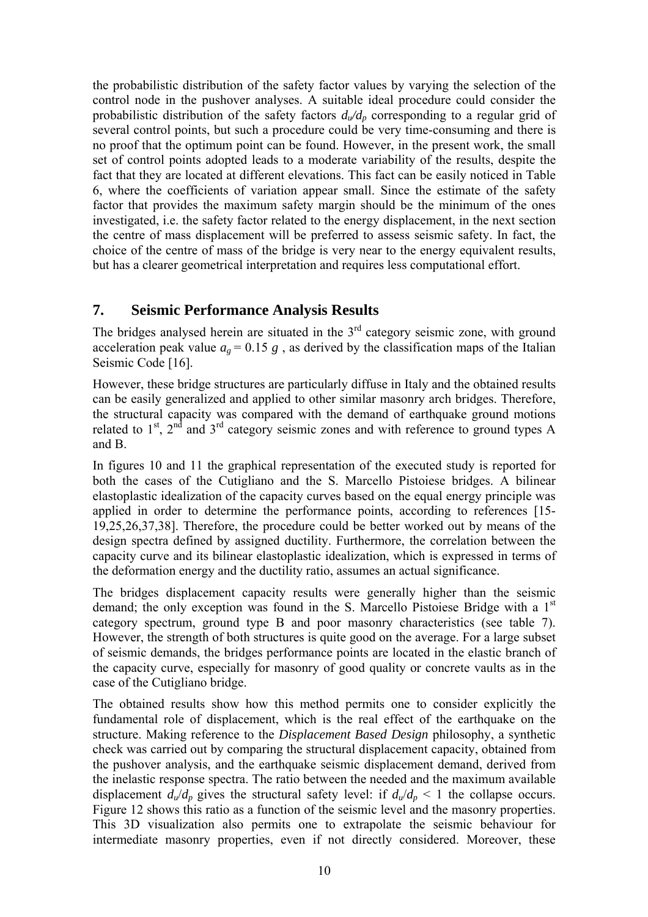the probabilistic distribution of the safety factor values by varying the selection of the control node in the pushover analyses. A suitable ideal procedure could consider the probabilistic distribution of the safety factors  $d<sub>u</sub>/d<sub>p</sub>$  corresponding to a regular grid of several control points, but such a procedure could be very time-consuming and there is no proof that the optimum point can be found. However, in the present work, the small set of control points adopted leads to a moderate variability of the results, despite the fact that they are located at different elevations. This fact can be easily noticed in Table 6, where the coefficients of variation appear small. Since the estimate of the safety factor that provides the maximum safety margin should be the minimum of the ones investigated, i.e. the safety factor related to the energy displacement, in the next section the centre of mass displacement will be preferred to assess seismic safety. In fact, the choice of the centre of mass of the bridge is very near to the energy equivalent results, but has a clearer geometrical interpretation and requires less computational effort.

#### **7. Seismic Performance Analysis Results**

The bridges analysed herein are situated in the  $3<sup>rd</sup>$  category seismic zone, with ground acceleration peak value  $a_g = 0.15$  g, as derived by the classification maps of the Italian Seismic Code [16].

However, these bridge structures are particularly diffuse in Italy and the obtained results can be easily generalized and applied to other similar masonry arch bridges. Therefore, the structural capacity was compared with the demand of earthquake ground motions related to  $1^{st}$ ,  $2^{nd}$  and  $3^{rd}$  category seismic zones and with reference to ground types A and B.

In figures 10 and 11 the graphical representation of the executed study is reported for both the cases of the Cutigliano and the S. Marcello Pistoiese bridges. A bilinear elastoplastic idealization of the capacity curves based on the equal energy principle was applied in order to determine the performance points, according to references [15- 19,25,26,37,38]. Therefore, the procedure could be better worked out by means of the design spectra defined by assigned ductility. Furthermore, the correlation between the capacity curve and its bilinear elastoplastic idealization, which is expressed in terms of the deformation energy and the ductility ratio, assumes an actual significance.

The bridges displacement capacity results were generally higher than the seismic demand; the only exception was found in the S. Marcello Pistoiese Bridge with a  $1<sup>st</sup>$ category spectrum, ground type B and poor masonry characteristics (see table 7). However, the strength of both structures is quite good on the average. For a large subset of seismic demands, the bridges performance points are located in the elastic branch of the capacity curve, especially for masonry of good quality or concrete vaults as in the case of the Cutigliano bridge.

The obtained results show how this method permits one to consider explicitly the fundamental role of displacement, which is the real effect of the earthquake on the structure. Making reference to the *Displacement Based Design* philosophy, a synthetic check was carried out by comparing the structural displacement capacity, obtained from the pushover analysis, and the earthquake seismic displacement demand, derived from the inelastic response spectra. The ratio between the needed and the maximum available displacement  $d_u/d_p$  gives the structural safety level: if  $d_u/d_p < 1$  the collapse occurs. Figure 12 shows this ratio as a function of the seismic level and the masonry properties. This 3D visualization also permits one to extrapolate the seismic behaviour for intermediate masonry properties, even if not directly considered. Moreover, these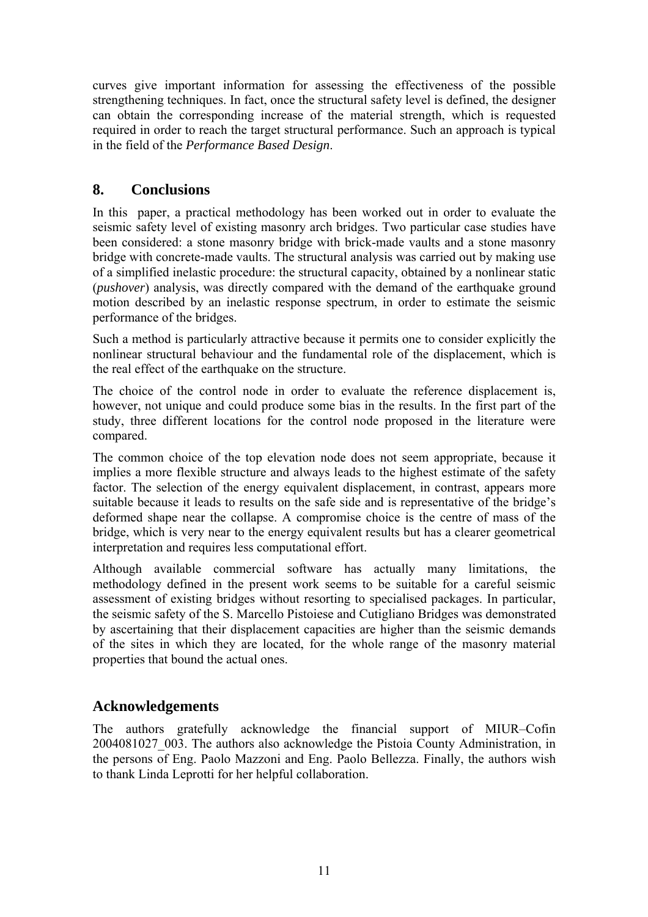curves give important information for assessing the effectiveness of the possible strengthening techniques. In fact, once the structural safety level is defined, the designer can obtain the corresponding increase of the material strength, which is requested required in order to reach the target structural performance. Such an approach is typical in the field of the *Performance Based Design*.

### **8. Conclusions**

In this paper, a practical methodology has been worked out in order to evaluate the seismic safety level of existing masonry arch bridges. Two particular case studies have been considered: a stone masonry bridge with brick-made vaults and a stone masonry bridge with concrete-made vaults. The structural analysis was carried out by making use of a simplified inelastic procedure: the structural capacity, obtained by a nonlinear static (*pushover*) analysis, was directly compared with the demand of the earthquake ground motion described by an inelastic response spectrum, in order to estimate the seismic performance of the bridges.

Such a method is particularly attractive because it permits one to consider explicitly the nonlinear structural behaviour and the fundamental role of the displacement, which is the real effect of the earthquake on the structure.

The choice of the control node in order to evaluate the reference displacement is, however, not unique and could produce some bias in the results. In the first part of the study, three different locations for the control node proposed in the literature were compared.

The common choice of the top elevation node does not seem appropriate, because it implies a more flexible structure and always leads to the highest estimate of the safety factor. The selection of the energy equivalent displacement, in contrast, appears more suitable because it leads to results on the safe side and is representative of the bridge's deformed shape near the collapse. A compromise choice is the centre of mass of the bridge, which is very near to the energy equivalent results but has a clearer geometrical interpretation and requires less computational effort.

Although available commercial software has actually many limitations, the methodology defined in the present work seems to be suitable for a careful seismic assessment of existing bridges without resorting to specialised packages. In particular, the seismic safety of the S. Marcello Pistoiese and Cutigliano Bridges was demonstrated by ascertaining that their displacement capacities are higher than the seismic demands of the sites in which they are located, for the whole range of the masonry material properties that bound the actual ones.

## **Acknowledgements**

The authors gratefully acknowledge the financial support of MIUR–Cofin 2004081027\_003. The authors also acknowledge the Pistoia County Administration, in the persons of Eng. Paolo Mazzoni and Eng. Paolo Bellezza. Finally, the authors wish to thank Linda Leprotti for her helpful collaboration.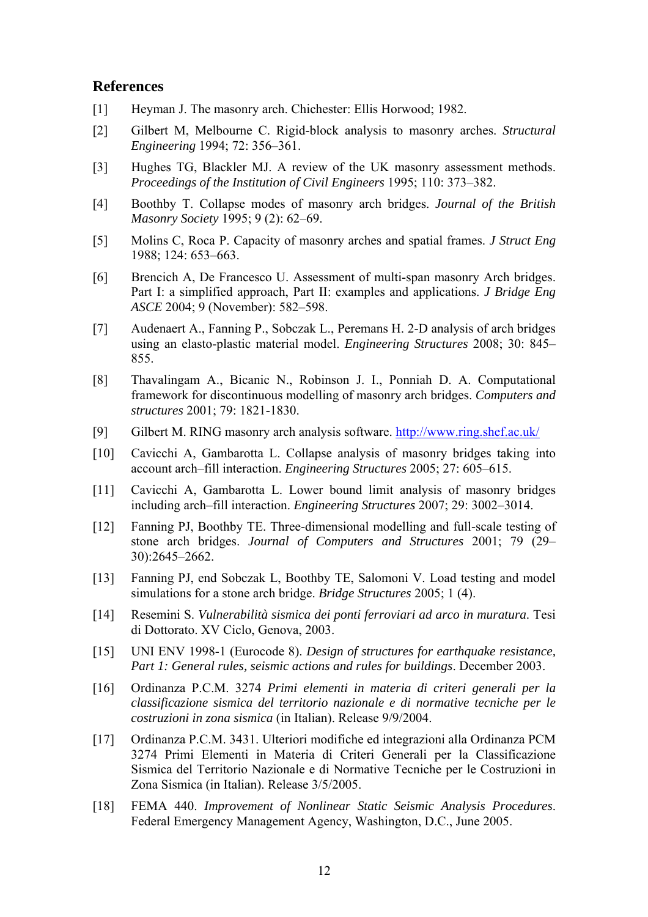#### **References**

- [1] Heyman J. The masonry arch. Chichester: Ellis Horwood; 1982.
- [2] Gilbert M, Melbourne C. Rigid-block analysis to masonry arches. *Structural Engineering* 1994; 72: 356–361.
- [3] Hughes TG, Blackler MJ. A review of the UK masonry assessment methods. *Proceedings of the Institution of Civil Engineers* 1995; 110: 373–382.
- [4] Boothby T. Collapse modes of masonry arch bridges. *Journal of the British Masonry Society* 1995; 9 (2): 62–69.
- [5] Molins C, Roca P. Capacity of masonry arches and spatial frames. *J Struct Eng* 1988; 124: 653–663.
- [6] Brencich A, De Francesco U. Assessment of multi-span masonry Arch bridges. Part I: a simplified approach, Part II: examples and applications. *J Bridge Eng ASCE* 2004; 9 (November): 582–598.
- [7] Audenaert A., Fanning P., Sobczak L., Peremans H. 2-D analysis of arch bridges using an elasto-plastic material model. *Engineering Structures* 2008; 30: 845– 855.
- [8] Thavalingam A., Bicanic N., Robinson J. I., Ponniah D. A. Computational framework for discontinuous modelling of masonry arch bridges. *Computers and structures* 2001; 79: 1821-1830.
- [9] Gilbert M. RING masonry arch analysis software. http://www.ring.shef.ac.uk/
- [10] Cavicchi A, Gambarotta L. Collapse analysis of masonry bridges taking into account arch–fill interaction. *Engineering Structures* 2005; 27: 605–615.
- [11] Cavicchi A, Gambarotta L. Lower bound limit analysis of masonry bridges including arch–fill interaction. *Engineering Structures* 2007; 29: 3002–3014.
- [12] Fanning PJ, Boothby TE. Three-dimensional modelling and full-scale testing of stone arch bridges. *Journal of Computers and Structures* 2001; 79 (29– 30):2645–2662.
- [13] Fanning PJ, end Sobczak L, Boothby TE, Salomoni V. Load testing and model simulations for a stone arch bridge. *Bridge Structures* 2005; 1 (4).
- [14] Resemini S. *Vulnerabilità sismica dei ponti ferroviari ad arco in muratura*. Tesi di Dottorato. XV Ciclo, Genova, 2003.
- [15] UNI ENV 1998-1 (Eurocode 8). *Design of structures for earthquake resistance, Part 1: General rules, seismic actions and rules for buildings*. December 2003.
- [16] Ordinanza P.C.M. 3274 *Primi elementi in materia di criteri generali per la classificazione sismica del territorio nazionale e di normative tecniche per le costruzioni in zona sismica* (in Italian). Release 9/9/2004.
- [17] Ordinanza P.C.M. 3431. Ulteriori modifiche ed integrazioni alla Ordinanza PCM 3274 Primi Elementi in Materia di Criteri Generali per la Classificazione Sismica del Territorio Nazionale e di Normative Tecniche per le Costruzioni in Zona Sismica (in Italian). Release 3/5/2005.
- [18] FEMA 440. *Improvement of Nonlinear Static Seismic Analysis Procedures*. Federal Emergency Management Agency, Washington, D.C., June 2005.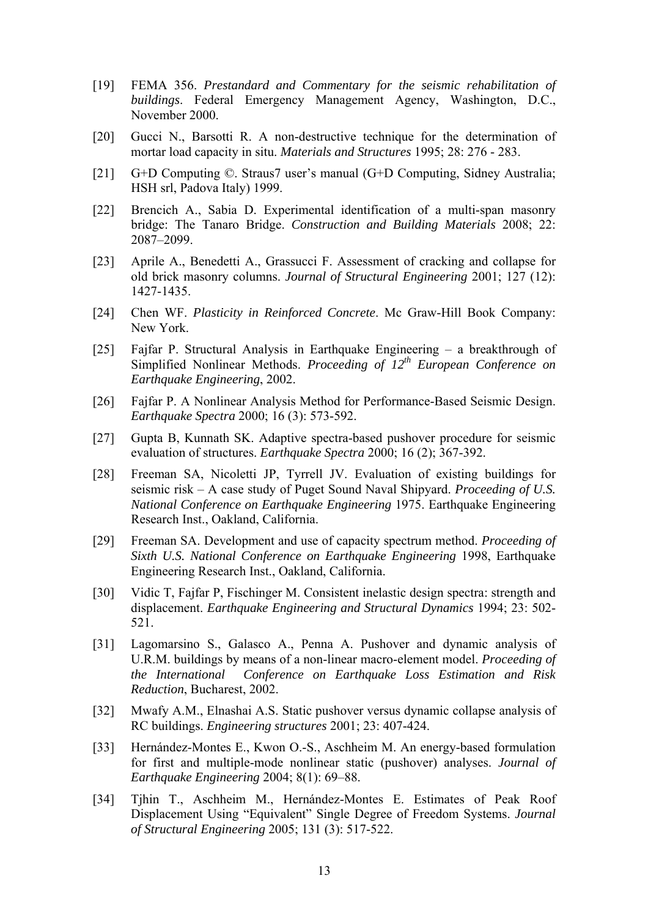- [19] FEMA 356. *Prestandard and Commentary for the seismic rehabilitation of buildings*. Federal Emergency Management Agency, Washington, D.C., November 2000.
- [20] Gucci N., Barsotti R. A non-destructive technique for the determination of mortar load capacity in situ. *Materials and Structures* 1995; 28: 276 - 283.
- [21] G+D Computing ©. Straus7 user's manual (G+D Computing, Sidney Australia; HSH srl, Padova Italy) 1999.
- [22] Brencich A., Sabia D. Experimental identification of a multi-span masonry bridge: The Tanaro Bridge. *Construction and Building Materials* 2008; 22: 2087–2099.
- [23] Aprile A., Benedetti A., Grassucci F. Assessment of cracking and collapse for old brick masonry columns. *Journal of Structural Engineering* 2001; 127 (12): 1427-1435.
- [24] Chen WF. *Plasticity in Reinforced Concrete*. Mc Graw-Hill Book Company: New York.
- [25] Fajfar P. Structural Analysis in Earthquake Engineering a breakthrough of Simplified Nonlinear Methods. *Proceeding of 12<sup>th</sup> European Conference on Earthquake Engineering*, 2002.
- [26] Fajfar P. A Nonlinear Analysis Method for Performance-Based Seismic Design. *Earthquake Spectra* 2000; 16 (3): 573-592.
- [27] Gupta B, Kunnath SK. Adaptive spectra-based pushover procedure for seismic evaluation of structures. *Earthquake Spectra* 2000; 16 (2); 367-392.
- [28] Freeman SA, Nicoletti JP, Tyrrell JV. Evaluation of existing buildings for seismic risk – A case study of Puget Sound Naval Shipyard. *Proceeding of U.S. National Conference on Earthquake Engineering* 1975. Earthquake Engineering Research Inst., Oakland, California.
- [29] Freeman SA. Development and use of capacity spectrum method. *Proceeding of Sixth U.S. National Conference on Earthquake Engineering* 1998, Earthquake Engineering Research Inst., Oakland, California.
- [30] Vidic T, Fajfar P, Fischinger M. Consistent inelastic design spectra: strength and displacement. *Earthquake Engineering and Structural Dynamics* 1994; 23: 502- 521.
- [31] Lagomarsino S., Galasco A., Penna A. Pushover and dynamic analysis of U.R.M. buildings by means of a non-linear macro-element model. *Proceeding of the International Conference on Earthquake Loss Estimation and Risk Reduction*, Bucharest, 2002.
- [32] Mwafy A.M., Elnashai A.S. Static pushover versus dynamic collapse analysis of RC buildings. *Engineering structures* 2001; 23: 407-424.
- [33] Hernández-Montes E., Kwon O.-S., Aschheim M. An energy-based formulation for first and multiple-mode nonlinear static (pushover) analyses. *Journal of Earthquake Engineering* 2004; 8(1): 69–88.
- [34] Tjhin T., Aschheim M., Hernández-Montes E. Estimates of Peak Roof Displacement Using "Equivalent" Single Degree of Freedom Systems. *Journal of Structural Engineering* 2005; 131 (3): 517-522.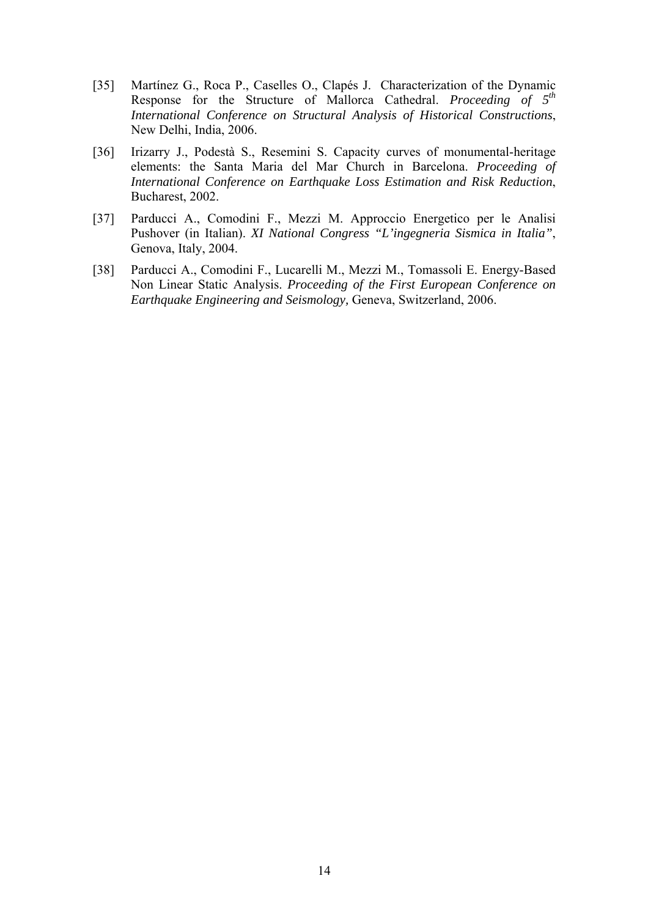- [35] Martínez G., Roca P., Caselles O., Clapés J. Characterization of the Dynamic Response for the Structure of Mallorca Cathedral. *Proceeding of 5th International Conference on Structural Analysis of Historical Constructions*, New Delhi, India, 2006.
- [36] Irizarry J., Podestà S., Resemini S. Capacity curves of monumental-heritage elements: the Santa Maria del Mar Church in Barcelona. *Proceeding of International Conference on Earthquake Loss Estimation and Risk Reduction*, Bucharest, 2002.
- [37] Parducci A., Comodini F., Mezzi M. Approccio Energetico per le Analisi Pushover (in Italian). *XI National Congress "L'ingegneria Sismica in Italia"*, Genova, Italy, 2004.
- [38] Parducci A., Comodini F., Lucarelli M., Mezzi M., Tomassoli E. Energy-Based Non Linear Static Analysis. *Proceeding of the First European Conference on Earthquake Engineering and Seismology,* Geneva, Switzerland, 2006.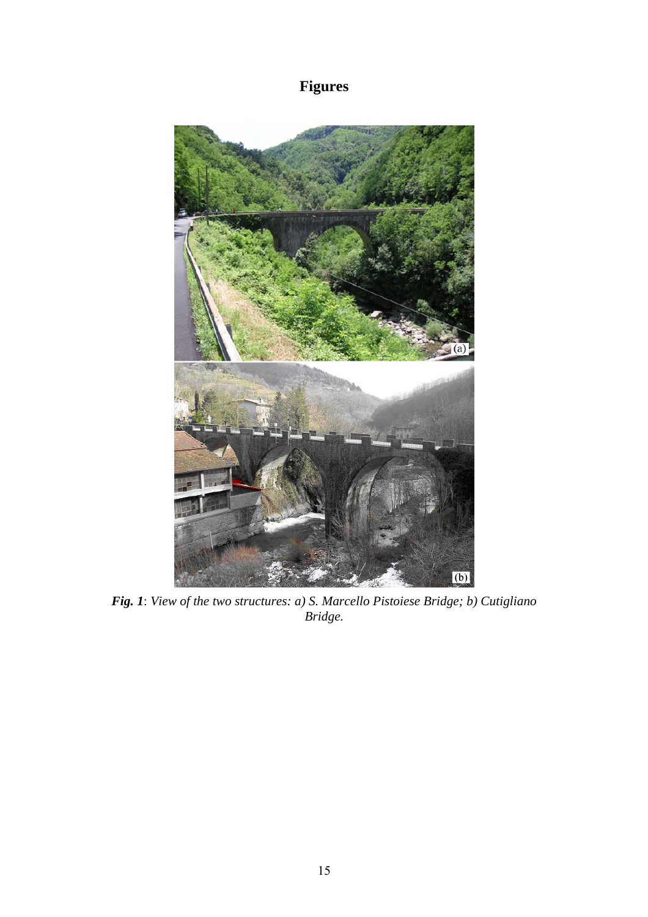# **Figures**



*Fig. 1*: *View of the two structures: a) S. Marcello Pistoiese Bridge; b) Cutigliano Bridge.*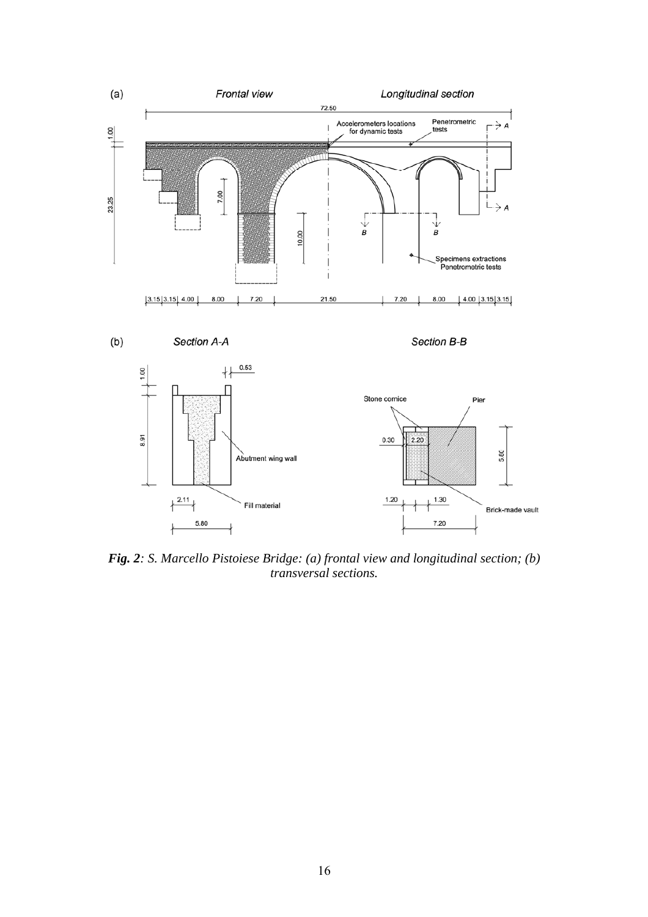

*Fig. 2: S. Marcello Pistoiese Bridge: (a) frontal view and longitudinal section; (b) transversal sections.*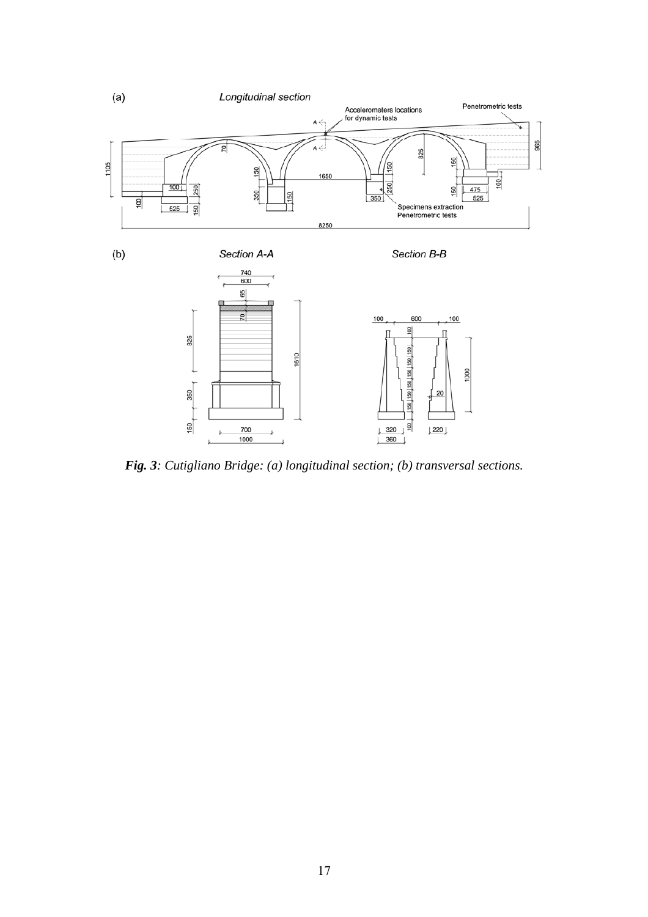

*Fig. 3: Cutigliano Bridge: (a) longitudinal section; (b) transversal sections.*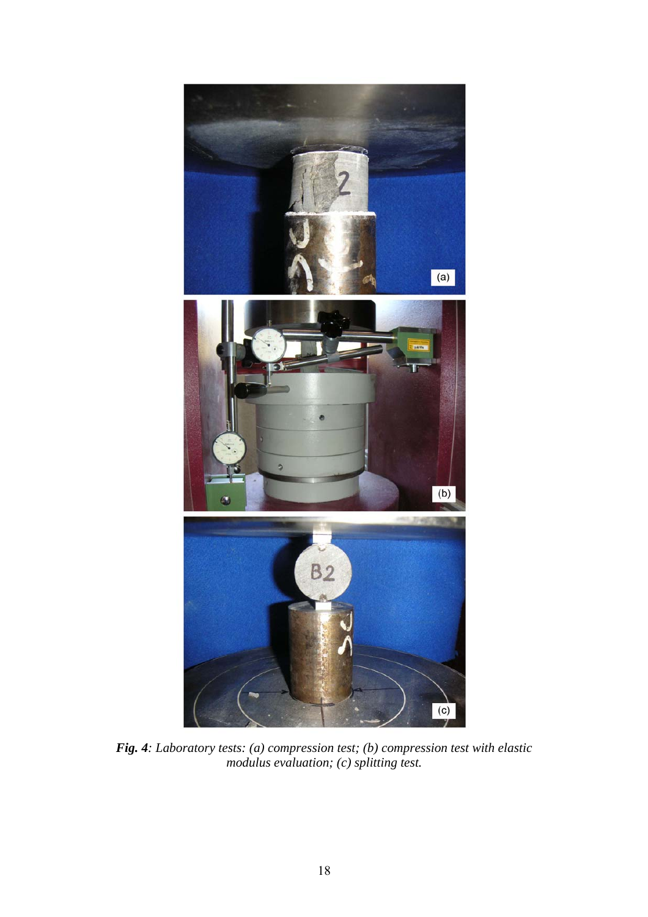

*Fig. 4: Laboratory tests: (a) compression test; (b) compression test with elastic modulus evaluation; (c) splitting test.*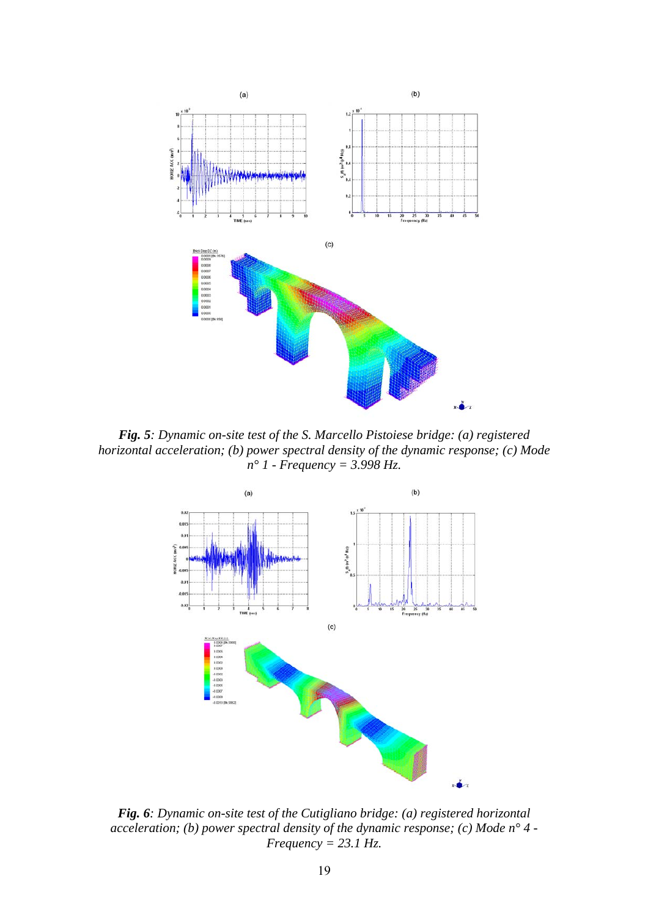

*Fig. 5: Dynamic on-site test of the S. Marcello Pistoiese bridge: (a) registered horizontal acceleration; (b) power spectral density of the dynamic response; (c) Mode n° 1 - Frequency = 3.998 Hz.* 



*Fig. 6: Dynamic on-site test of the Cutigliano bridge: (a) registered horizontal acceleration; (b) power spectral density of the dynamic response; (c) Mode n° 4 - Frequency = 23.1 Hz.*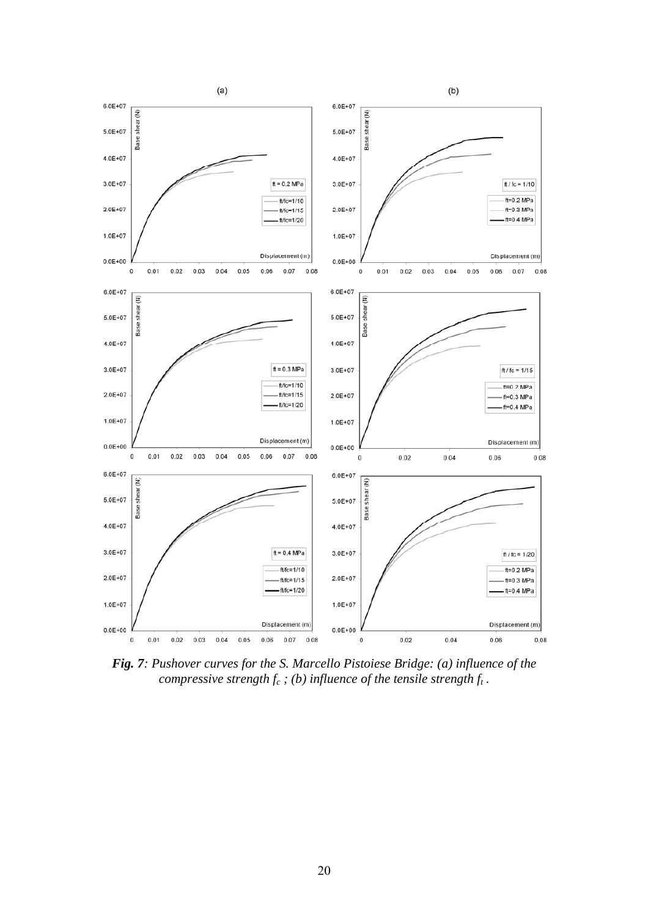

*Fig. 7: Pushover curves for the S. Marcello Pistoiese Bridge: (a) influence of the compressive strength*  $f_c$  *; (b) influence of the tensile strength*  $f_t$ *.*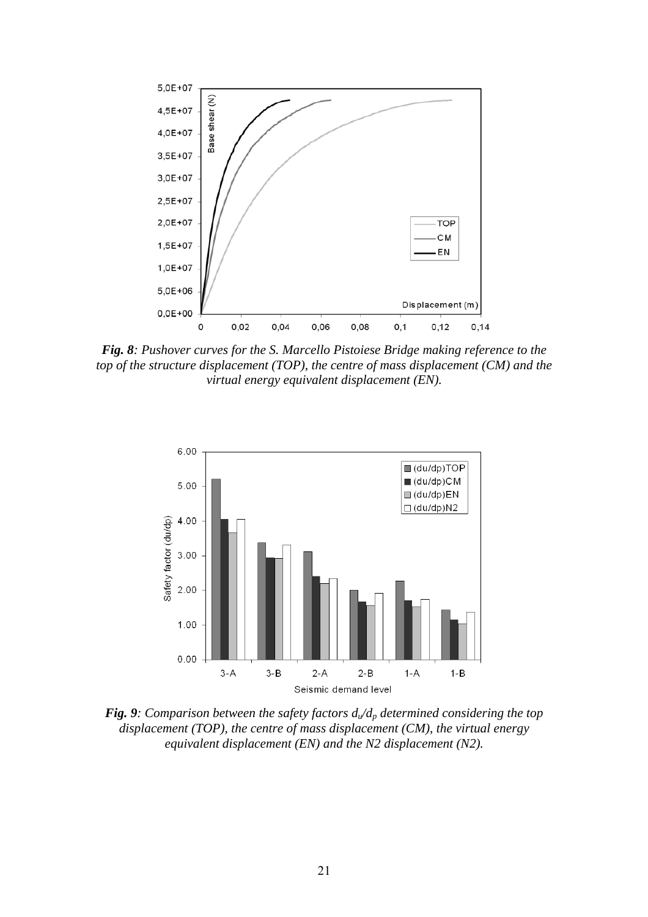

*Fig. 8: Pushover curves for the S. Marcello Pistoiese Bridge making reference to the top of the structure displacement (TOP), the centre of mass displacement (CM) and the virtual energy equivalent displacement (EN).* 



*Fig. 9: Comparison between the safety factors*  $d<sub>u</sub>/d<sub>p</sub>$  *determined considering the top displacement (TOP), the centre of mass displacement (CM), the virtual energy equivalent displacement (EN) and the N2 displacement (N2).*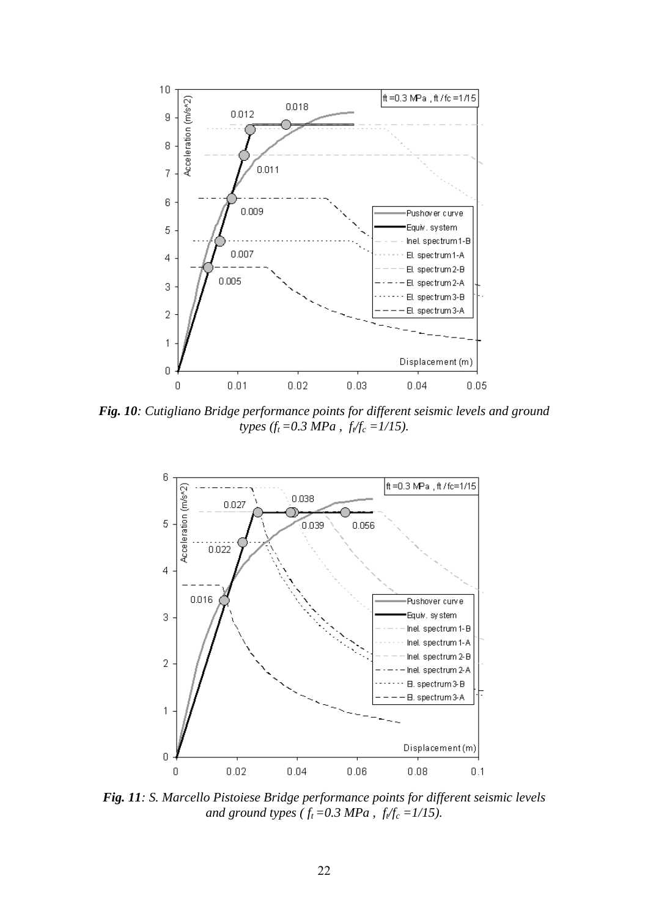

*Fig. 10: Cutigliano Bridge performance points for different seismic levels and ground types (f<sub>t</sub>* = 0.3 MPa,  $f_{t}/f_{c} = 1/15$ ).



*Fig. 11: S. Marcello Pistoiese Bridge performance points for different seismic levels*  and ground types  $(f_t = 0.3 \text{ MPa}$ ,  $f_t/f_c = 1/15$ ).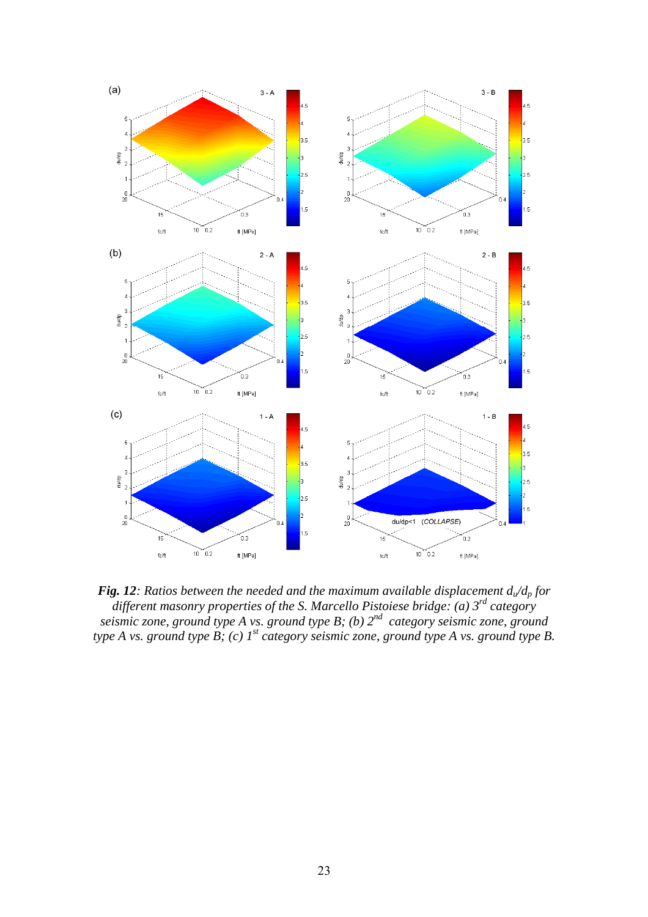

*Fig. 12: Ratios between the needed and the maximum available displacement*  $d_u/d_p$  *for different masonry properties of the S. Marcello Pistoiese bridge: (a) 3rd category seismic zone, ground type A vs. ground type B; (b) 2nd category seismic zone, ground type A vs. ground type B; (c) 1st category seismic zone, ground type A vs. ground type B.*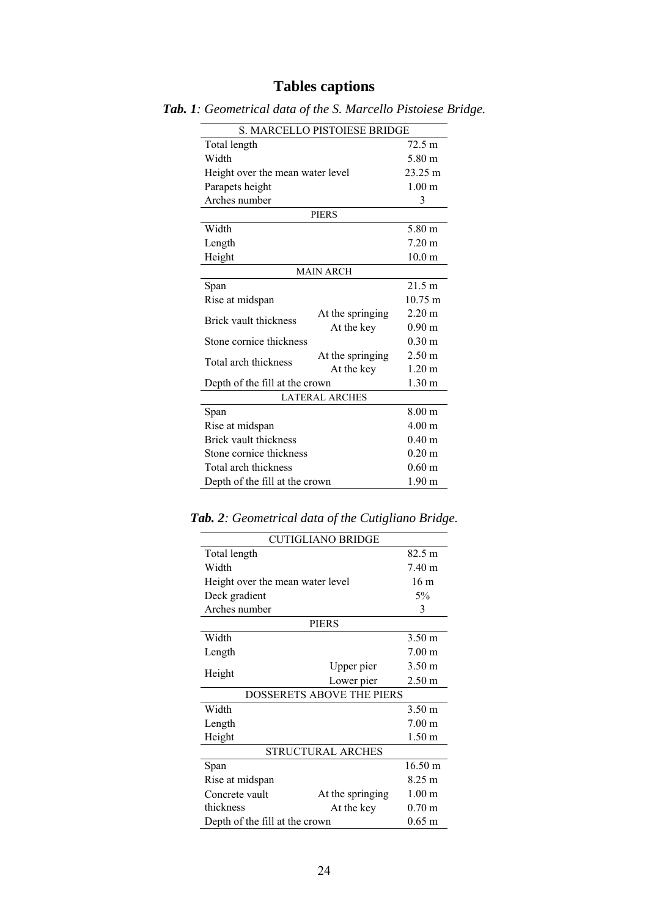| S. MARCELLO PISTOIESE BRIDGE     |                       |                   |  |  |  |  |
|----------------------------------|-----------------------|-------------------|--|--|--|--|
| Total length                     | $72.5 \text{ m}$      |                   |  |  |  |  |
| Width                            | 5.80 m                |                   |  |  |  |  |
| Height over the mean water level |                       | $23.25 \text{ m}$ |  |  |  |  |
| Parapets height                  |                       | $1.00 \text{ m}$  |  |  |  |  |
| Arches number                    |                       | 3                 |  |  |  |  |
|                                  | <b>PIERS</b>          |                   |  |  |  |  |
| Width                            |                       | 5.80 m            |  |  |  |  |
| Length                           |                       | $7.20 \text{ m}$  |  |  |  |  |
| Height                           |                       | 10.0 <sub>m</sub> |  |  |  |  |
|                                  | <b>MAIN ARCH</b>      |                   |  |  |  |  |
| Span                             |                       | 21.5 m            |  |  |  |  |
| Rise at midspan                  |                       | $10.75 \text{ m}$ |  |  |  |  |
| Brick vault thickness            | At the springing      | $2.20 \text{ m}$  |  |  |  |  |
|                                  | At the key            | 0.90 <sub>m</sub> |  |  |  |  |
| Stone cornice thickness          |                       | 0.30 <sub>m</sub> |  |  |  |  |
| Total arch thickness             | At the springing      | $2.50 \text{ m}$  |  |  |  |  |
|                                  | At the key            | $1.20 \text{ m}$  |  |  |  |  |
| Depth of the fill at the crown   |                       | 1.30 <sub>m</sub> |  |  |  |  |
|                                  | <b>LATERAL ARCHES</b> |                   |  |  |  |  |
| Span                             |                       | $8.00 \text{ m}$  |  |  |  |  |
| Rise at midspan                  |                       | $4.00 \text{ m}$  |  |  |  |  |
| <b>Brick vault thickness</b>     | $0.40 \;{\rm m}$      |                   |  |  |  |  |
| Stone cornice thickness          | $0.20 \text{ m}$      |                   |  |  |  |  |
| Total arch thickness             | $0.60 \text{ m}$      |                   |  |  |  |  |
| Depth of the fill at the crown   | $1.90 \text{ m}$      |                   |  |  |  |  |

## **Tables captions**

*Tab. 1: Geometrical data of the S. Marcello Pistoiese Bridge.* 

*Tab. 2: Geometrical data of the Cutigliano Bridge.* 

| CUTIGLIANO BRIDGE                                  |                   |                   |  |  |  |  |  |
|----------------------------------------------------|-------------------|-------------------|--|--|--|--|--|
| Total length                                       | $82.5 \text{ m}$  |                   |  |  |  |  |  |
| Width                                              |                   | $7.40 \text{ m}$  |  |  |  |  |  |
| Height over the mean water level                   |                   | 16 m              |  |  |  |  |  |
| Deck gradient                                      |                   | 5%                |  |  |  |  |  |
| Arches number                                      |                   | 3                 |  |  |  |  |  |
|                                                    | PIERS             |                   |  |  |  |  |  |
| Width                                              |                   | $3.50 \text{ m}$  |  |  |  |  |  |
| Length                                             |                   | 7.00 <sub>m</sub> |  |  |  |  |  |
|                                                    | Upper pier        | $3.50 \text{ m}$  |  |  |  |  |  |
| Height                                             | Lower pier        | $2.50 \text{ m}$  |  |  |  |  |  |
| DOSSERETS ABOVE THE PIERS                          |                   |                   |  |  |  |  |  |
| Width                                              |                   | $3.50 \text{ m}$  |  |  |  |  |  |
| Length                                             | 7.00 <sub>m</sub> |                   |  |  |  |  |  |
| Height                                             | 1.50 <sub>m</sub> |                   |  |  |  |  |  |
|                                                    | STRUCTURAL ARCHES |                   |  |  |  |  |  |
| Span                                               |                   | $16.50 \text{ m}$ |  |  |  |  |  |
| Rise at midspan                                    |                   | $8.25 \text{ m}$  |  |  |  |  |  |
| Concrete vault                                     | 1.00 <sub>m</sub> |                   |  |  |  |  |  |
| thickness<br>$0.70 \text{ m}$<br>At the key        |                   |                   |  |  |  |  |  |
| $0.65 \text{ m}$<br>Depth of the fill at the crown |                   |                   |  |  |  |  |  |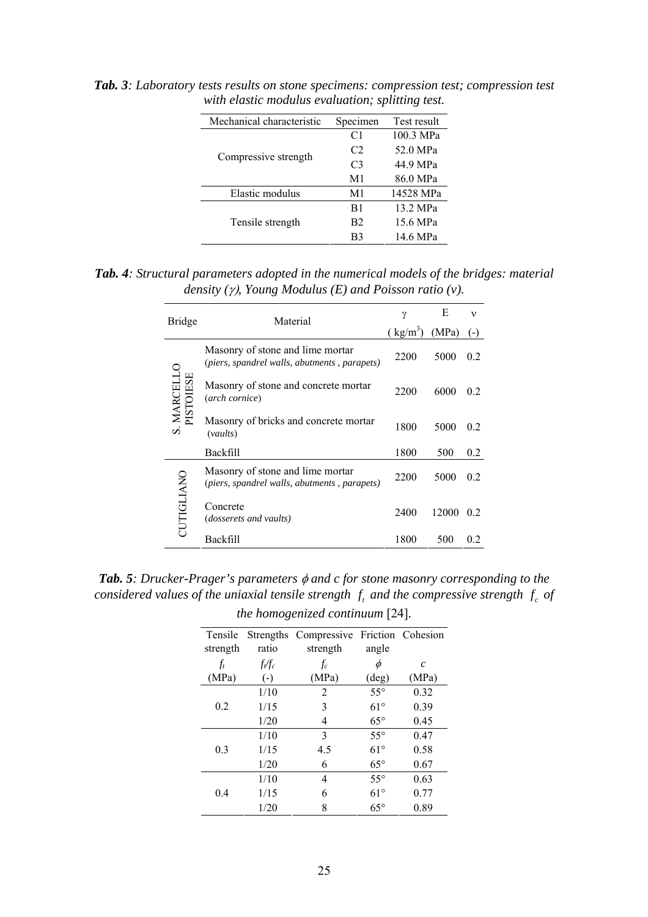| Mechanical characteristic | Specimen       | Test result |
|---------------------------|----------------|-------------|
|                           | C <sub>1</sub> | 100.3 MPa   |
|                           | C <sub>2</sub> | 52.0 MPa    |
| Compressive strength      | C <sub>3</sub> | 44.9 MPa    |
|                           | M1             | 86.0 MPa    |
| Elastic modulus           | M1             | 14528 MPa   |
|                           | B1             | 13.2 MPa    |
| Tensile strength          | B <sub>2</sub> | 15.6 MPa    |
|                           | B3             | 14.6 MPa    |

*Tab. 3: Laboratory tests results on stone specimens: compression test; compression test with elastic modulus evaluation; splitting test.* 

*Tab. 4: Structural parameters adopted in the numerical models of the bridges: material density (*γ)*, Young Modulus (E) and Poisson ratio (v).* 

| <b>Bridge</b>            | Material                                                                         | γ          | E     | $\mathbf v$ |
|--------------------------|----------------------------------------------------------------------------------|------------|-------|-------------|
|                          |                                                                                  | $(kg/m^3)$ | (MPa) | $(-)$       |
|                          | Masonry of stone and lime mortar<br>(piers, spandrel walls, abutments, parapets) | 2200       | 5000  | 0.2         |
| S. MARCELLO<br>PISTOIESE | Masonry of stone and concrete mortar<br>(arch cornice)                           | 2200       | 6000  | 0.2         |
|                          | Masonry of bricks and concrete mortar<br>( <i>vaults</i> )                       | 1800       | 5000  | 0.2         |
|                          | Backfill                                                                         | 1800       | 500   | 0.2         |
|                          | Masonry of stone and lime mortar<br>(piers, spandrel walls, abutments, parapets) | 2200       | 5000  | 0.2         |
| CUTIGLIANO               | Concrete<br><i>(dosserets and vaults)</i>                                        | 2400       | 12000 | 0.2         |
|                          | Backfill                                                                         | 1800       | 500   | 0.2         |

*Tab. 5: Drucker-Prager's parameters* φ *and c for stone masonry corresponding to the considered values of the uniaxial tensile strength*  $f_t$  *and the compressive strength*  $f_c$  *of the homogenized continuum* [24]*.* 

| Tensile  |            | Strengths Compressive Friction Cohesion |                |                       |
|----------|------------|-----------------------------------------|----------------|-----------------------|
| strength | ratio      | strength                                | angle          |                       |
|          |            |                                         |                |                       |
| $f_t$    | $f_{\ell}$ | $f_c$                                   | φ              | $\mathcal{C}_{0}^{2}$ |
| (MPa)    | $(-)$      | (MPa)                                   | $(\text{deg})$ | (MPa)                 |
|          | 1/10       | 2                                       | $55^{\circ}$   | 0.32                  |
| 0.2      | 1/15       | 3                                       | $61^{\circ}$   | 0.39                  |
|          | 1/20       | 4                                       | $65^{\circ}$   | 0.45                  |
|          | 1/10       | 3                                       | $55^{\circ}$   | 0.47                  |
| 0.3      | 1/15       | 4.5                                     | $61^{\circ}$   | 0.58                  |
|          | 1/20       | 6                                       | $65^\circ$     | 0.67                  |
| 0.4      | 1/10       | 4                                       | $55^{\circ}$   | 0.63                  |
|          | 1/15       | 6                                       | $61^{\circ}$   | 0.77                  |
|          | 1/20       | 8                                       | $65^{\circ}$   | 0.89                  |